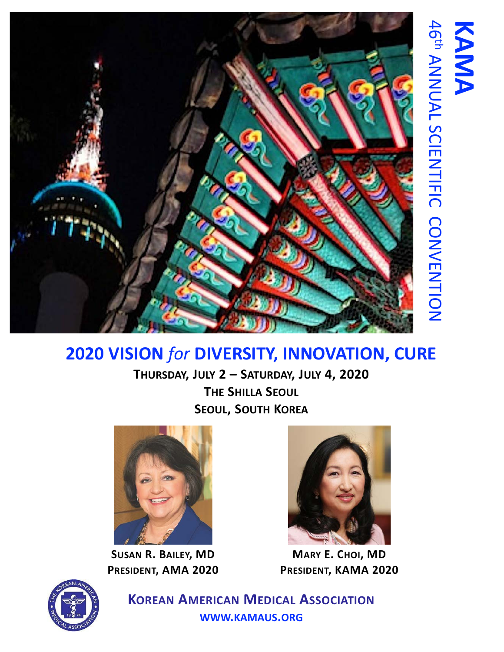

# **2020 VISION** *for* **DIVERSITY, INNOVATION, CURE**

**THURSDAY, JULY 2 – SATURDAY, JULY 4, 2020 THE SHILLA SEOUL SEOUL, SOUTH KOREA**



**SUSAN R. BAILEY, MD PRESIDENT, AMA 2020**



46

ANNUAL SCIENTIFIC CONVENTION

宁

**KAMA**

**MARY E. CHOI, MD PRESIDENT, KAMA 2020**



**KOREAN AMERICAN MEDICAL ASSOCIATION WWW.KAMAUS.ORG**